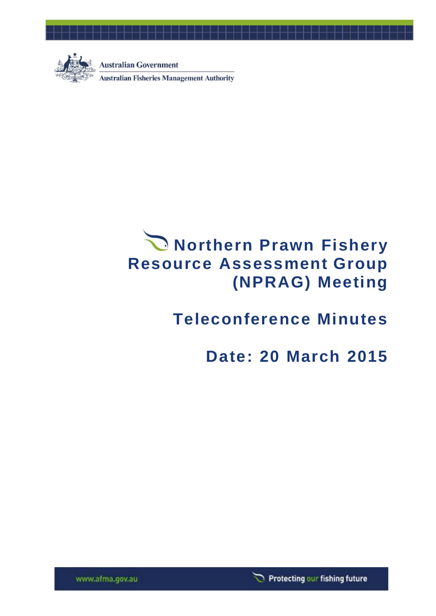

**Australian Government Australian Fisheries Management Authority** 

# **Northern Prawn Fishery Resource Assessment Group (NPRAG) Meeting**

## **Teleconference Minutes**

## **Date: 20 March 2015**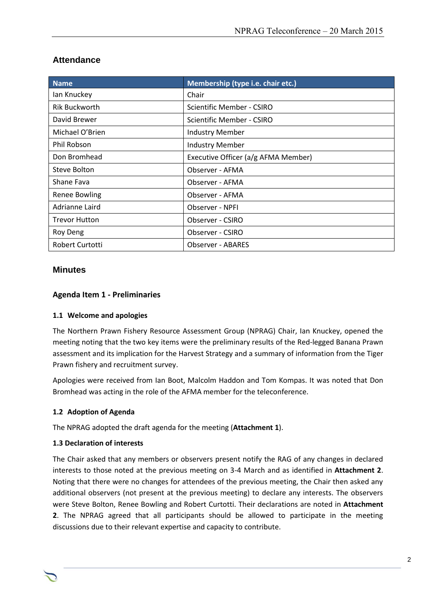| <b>Name</b>          | Membership (type i.e. chair etc.)   |  |
|----------------------|-------------------------------------|--|
| lan Knuckey          | Chair                               |  |
| <b>Rik Buckworth</b> | Scientific Member - CSIRO           |  |
| David Brewer         | Scientific Member - CSIRO           |  |
| Michael O'Brien      | <b>Industry Member</b>              |  |
| <b>Phil Robson</b>   | <b>Industry Member</b>              |  |
| Don Bromhead         | Executive Officer (a/g AFMA Member) |  |
| Steve Bolton         | Observer - AFMA                     |  |
| Shane Fava           | Observer - AFMA                     |  |
| <b>Renee Bowling</b> | Observer - AFMA                     |  |
| Adrianne Laird       | Observer - NPFI                     |  |
| <b>Trevor Hutton</b> | Observer - CSIRO                    |  |
| Roy Deng             | Observer - CSIRO                    |  |
| Robert Curtotti      | <b>Observer - ABARES</b>            |  |

## **Attendance**

#### **Minutes**

#### **Agenda Item 1 - Preliminaries**

#### **1.1 Welcome and apologies**

The Northern Prawn Fishery Resource Assessment Group (NPRAG) Chair, Ian Knuckey, opened the meeting noting that the two key items were the preliminary results of the Red-legged Banana Prawn assessment and its implication for the Harvest Strategy and a summary of information from the Tiger Prawn fishery and recruitment survey.

Apologies were received from Ian Boot, Malcolm Haddon and Tom Kompas. It was noted that Don Bromhead was acting in the role of the AFMA member for the teleconference.

#### **1.2 Adoption of Agenda**

The NPRAG adopted the draft agenda for the meeting (**Attachment 1**).

#### **1.3 Declaration of interests**

The Chair asked that any members or observers present notify the RAG of any changes in declared interests to those noted at the previous meeting on 3-4 March and as identified in **Attachment 2**. Noting that there were no changes for attendees of the previous meeting, the Chair then asked any additional observers (not present at the previous meeting) to declare any interests. The observers were Steve Bolton, Renee Bowling and Robert Curtotti. Their declarations are noted in **Attachment 2**. The NPRAG agreed that all participants should be allowed to participate in the meeting discussions due to their relevant expertise and capacity to contribute.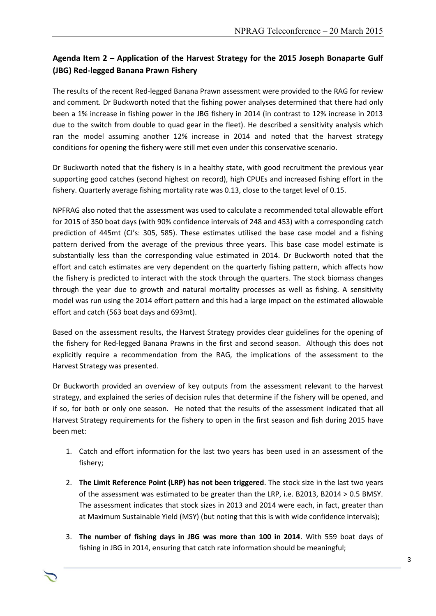## **Agenda Item 2 – Application of the Harvest Strategy for the 2015 Joseph Bonaparte Gulf (JBG) Red-legged Banana Prawn Fishery**

The results of the recent Red-legged Banana Prawn assessment were provided to the RAG for review and comment. Dr Buckworth noted that the fishing power analyses determined that there had only been a 1% increase in fishing power in the JBG fishery in 2014 (in contrast to 12% increase in 2013 due to the switch from double to quad gear in the fleet). He described a sensitivity analysis which ran the model assuming another 12% increase in 2014 and noted that the harvest strategy conditions for opening the fishery were still met even under this conservative scenario.

Dr Buckworth noted that the fishery is in a healthy state, with good recruitment the previous year supporting good catches (second highest on record), high CPUEs and increased fishing effort in the fishery. Quarterly average fishing mortality rate was 0.13, close to the target level of 0.15.

NPFRAG also noted that the assessment was used to calculate a recommended total allowable effort for 2015 of 350 boat days (with 90% confidence intervals of 248 and 453) with a corresponding catch prediction of 445mt (CI's: 305, 585). These estimates utilised the base case model and a fishing pattern derived from the average of the previous three years. This base case model estimate is substantially less than the corresponding value estimated in 2014. Dr Buckworth noted that the effort and catch estimates are very dependent on the quarterly fishing pattern, which affects how the fishery is predicted to interact with the stock through the quarters. The stock biomass changes through the year due to growth and natural mortality processes as well as fishing. A sensitivity model was run using the 2014 effort pattern and this had a large impact on the estimated allowable effort and catch (563 boat days and 693mt).

Based on the assessment results, the Harvest Strategy provides clear guidelines for the opening of the fishery for Red-legged Banana Prawns in the first and second season. Although this does not explicitly require a recommendation from the RAG, the implications of the assessment to the Harvest Strategy was presented.

Dr Buckworth provided an overview of key outputs from the assessment relevant to the harvest strategy, and explained the series of decision rules that determine if the fishery will be opened, and if so, for both or only one season. He noted that the results of the assessment indicated that all Harvest Strategy requirements for the fishery to open in the first season and fish during 2015 have been met:

- 1. Catch and effort information for the last two years has been used in an assessment of the fishery;
- 2. **The Limit Reference Point (LRP) has not been triggered**. The stock size in the last two years of the assessment was estimated to be greater than the LRP, i.e. B2013, B2014 > 0.5 BMSY. The assessment indicates that stock sizes in 2013 and 2014 were each, in fact, greater than at Maximum Sustainable Yield (MSY) (but noting that this is with wide confidence intervals);
- 3. **The number of fishing days in JBG was more than 100 in 2014**. With 559 boat days of fishing in JBG in 2014, ensuring that catch rate information should be meaningful;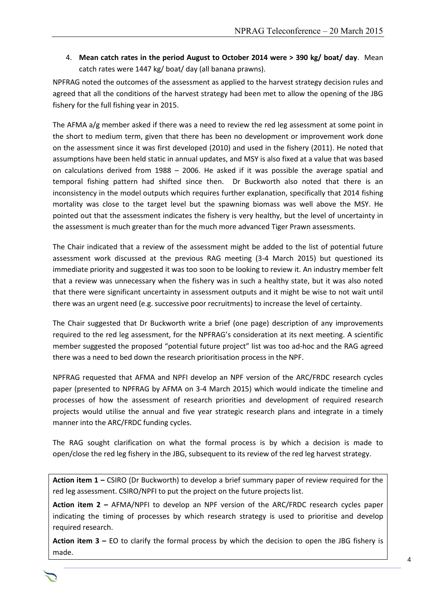4. **Mean catch rates in the period August to October 2014 were > 390 kg/ boat/ day**. Mean catch rates were 1447 kg/ boat/ day (all banana prawns).

NPFRAG noted the outcomes of the assessment as applied to the harvest strategy decision rules and agreed that all the conditions of the harvest strategy had been met to allow the opening of the JBG fishery for the full fishing year in 2015.

The AFMA a/g member asked if there was a need to review the red leg assessment at some point in the short to medium term, given that there has been no development or improvement work done on the assessment since it was first developed (2010) and used in the fishery (2011). He noted that assumptions have been held static in annual updates, and MSY is also fixed at a value that was based on calculations derived from 1988 – 2006. He asked if it was possible the average spatial and temporal fishing pattern had shifted since then. Dr Buckworth also noted that there is an inconsistency in the model outputs which requires further explanation, specifically that 2014 fishing mortality was close to the target level but the spawning biomass was well above the MSY. He pointed out that the assessment indicates the fishery is very healthy, but the level of uncertainty in the assessment is much greater than for the much more advanced Tiger Prawn assessments.

The Chair indicated that a review of the assessment might be added to the list of potential future assessment work discussed at the previous RAG meeting (3-4 March 2015) but questioned its immediate priority and suggested it was too soon to be looking to review it. An industry member felt that a review was unnecessary when the fishery was in such a healthy state, but it was also noted that there were significant uncertainty in assessment outputs and it might be wise to not wait until there was an urgent need (e.g. successive poor recruitments) to increase the level of certainty.

The Chair suggested that Dr Buckworth write a brief (one page) description of any improvements required to the red leg assessment, for the NPFRAG's consideration at its next meeting. A scientific member suggested the proposed "potential future project" list was too ad-hoc and the RAG agreed there was a need to bed down the research prioritisation process in the NPF.

NPFRAG requested that AFMA and NPFI develop an NPF version of the ARC/FRDC research cycles paper (presented to NPFRAG by AFMA on 3-4 March 2015) which would indicate the timeline and processes of how the assessment of research priorities and development of required research projects would utilise the annual and five year strategic research plans and integrate in a timely manner into the ARC/FRDC funding cycles.

The RAG sought clarification on what the formal process is by which a decision is made to open/close the red leg fishery in the JBG, subsequent to its review of the red leg harvest strategy.

**Action item 1 –** CSIRO (Dr Buckworth) to develop a brief summary paper of review required for the red leg assessment. CSIRO/NPFI to put the project on the future projects list.

**Action item 2 –** AFMA/NPFI to develop an NPF version of the ARC/FRDC research cycles paper indicating the timing of processes by which research strategy is used to prioritise and develop required research.

**Action item 3 –** EO to clarify the formal process by which the decision to open the JBG fishery is made.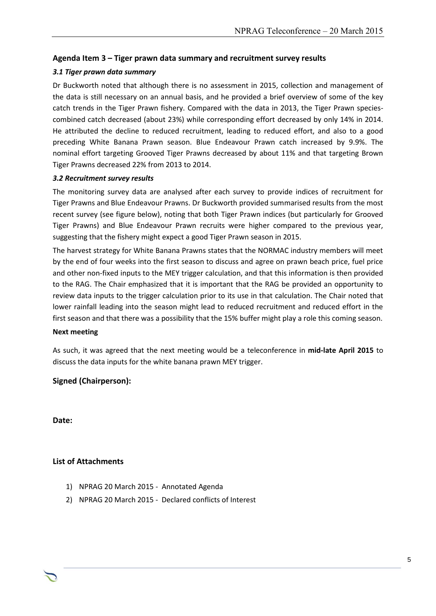#### **Agenda Item 3 – Tiger prawn data summary and recruitment survey results**

#### *3.1 Tiger prawn data summary*

Dr Buckworth noted that although there is no assessment in 2015, collection and management of the data is still necessary on an annual basis, and he provided a brief overview of some of the key catch trends in the Tiger Prawn fishery. Compared with the data in 2013, the Tiger Prawn speciescombined catch decreased (about 23%) while corresponding effort decreased by only 14% in 2014. He attributed the decline to reduced recruitment, leading to reduced effort, and also to a good preceding White Banana Prawn season. Blue Endeavour Prawn catch increased by 9.9%. The nominal effort targeting Grooved Tiger Prawns decreased by about 11% and that targeting Brown Tiger Prawns decreased 22% from 2013 to 2014.

#### *3.2 Recruitment survey results*

The monitoring survey data are analysed after each survey to provide indices of recruitment for Tiger Prawns and Blue Endeavour Prawns. Dr Buckworth provided summarised results from the most recent survey (see figure below), noting that both Tiger Prawn indices (but particularly for Grooved Tiger Prawns) and Blue Endeavour Prawn recruits were higher compared to the previous year, suggesting that the fishery might expect a good Tiger Prawn season in 2015.

The harvest strategy for White Banana Prawns states that the NORMAC industry members will meet by the end of four weeks into the first season to discuss and agree on prawn beach price, fuel price and other non-fixed inputs to the MEY trigger calculation, and that this information is then provided to the RAG. The Chair emphasized that it is important that the RAG be provided an opportunity to review data inputs to the trigger calculation prior to its use in that calculation. The Chair noted that lower rainfall leading into the season might lead to reduced recruitment and reduced effort in the first season and that there was a possibility that the 15% buffer might play a role this coming season.

#### **Next meeting**

As such, it was agreed that the next meeting would be a teleconference in **mid-late April 2015** to discuss the data inputs for the white banana prawn MEY trigger.

Chair Rob Lewis c/- Executive Officer Tony Kingston, 155 Faulkland Rd, Gloucester NSW 2422

#### **Signed (Chairperson):**

**Date:**

#### **List of Attachments**

- 1) NPRAG 20 March 2015 Annotated Agenda
- 2) NPRAG 20 March 2015 Declared conflicts of Interest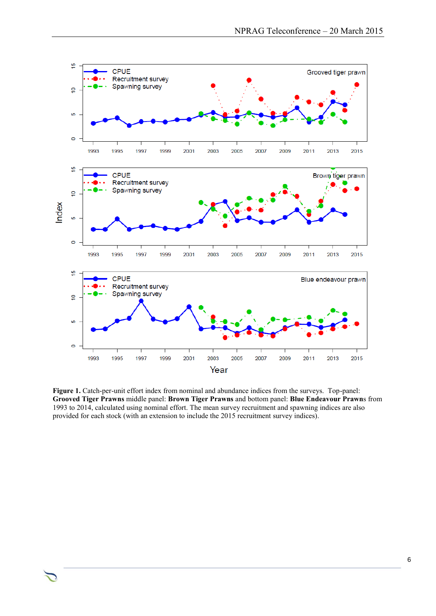

**Figure 1.** Catch-per-unit effort index from nominal and abundance indices from the surveys. Top-panel: **Grooved Tiger Prawns** middle panel: **Brown Tiger Prawns** and bottom panel: **Blue Endeavour Prawn**s from 1993 to 2014, calculated using nominal effort. The mean survey recruitment and spawning indices are also provided for each stock (with an extension to include the 2015 recruitment survey indices).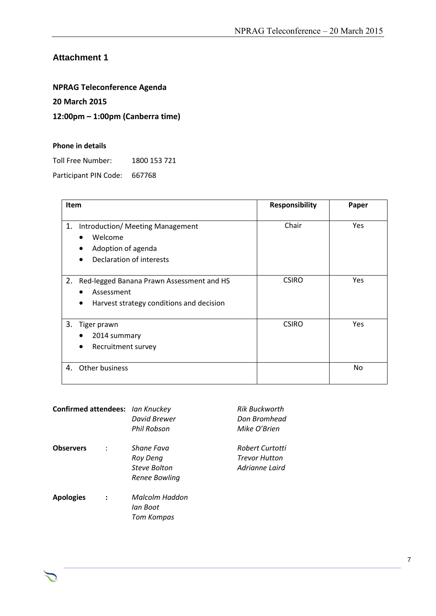## **Attachment 1**

## **NPRAG Teleconference Agenda**

#### **20 March 2015**

### **12:00pm – 1:00pm (Canberra time)**

#### **Phone in details**

Toll Free Number: 1800 153 721

Participant PIN Code: 667768

| Item                                                                                                                   | <b>Responsibility</b> | Paper      |
|------------------------------------------------------------------------------------------------------------------------|-----------------------|------------|
| Introduction/ Meeting Management<br>1.<br>Welcome<br>Adoption of agenda<br>Declaration of interests                    | Chair                 | <b>Yes</b> |
| 2.<br>Red-legged Banana Prawn Assessment and HS<br>Assessment<br>Harvest strategy conditions and decision<br>$\bullet$ | <b>CSIRO</b>          | Yes        |
| 3.<br>Tiger prawn<br>2014 summary<br>Recruitment survey                                                                | <b>CSIRO</b>          | Yes        |
| Other business<br>4.                                                                                                   |                       | No         |

| Confirmed attendees: Ian Knuckey | <b>David Brewer</b><br>Phil Robson | <b>Rik Buckworth</b><br>Don Bromhead<br>Mike O'Brien |
|----------------------------------|------------------------------------|------------------------------------------------------|
| Observers                        | Shane Fava<br>Roy Deng             | Robert Curtotti<br><b>Trevor Hutton</b>              |
|                                  | <b>Steve Bolton</b>                | Adrianne Laird                                       |
|                                  | Renee Bowling                      |                                                      |
| <b>Apologies</b>                 | Malcolm Haddon                     |                                                      |
|                                  | lan Boot                           |                                                      |
|                                  | <b>Tom Kompas</b>                  |                                                      |